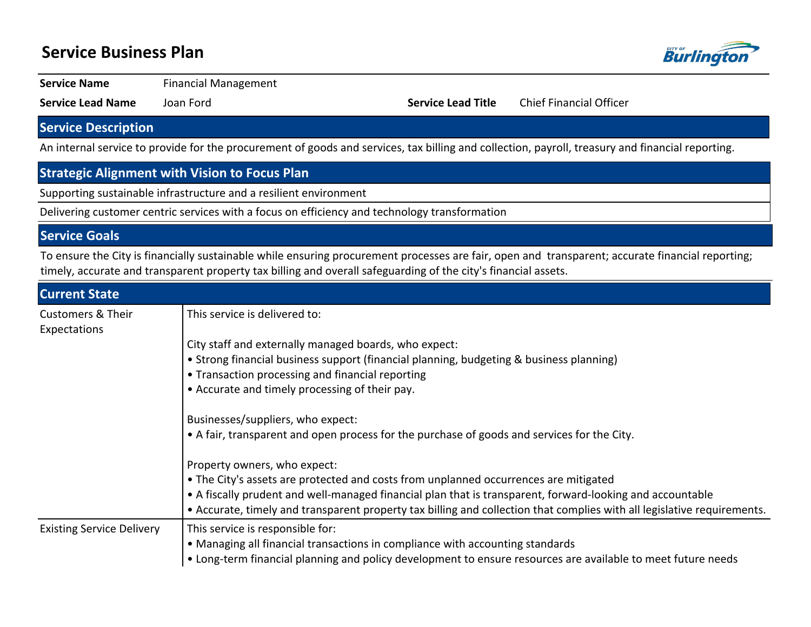## **Service Business Plan**



**Service Name** Financial Management

**Service Lead Name** Joan Ford **Service Lead Title** Chief Financial Officer

## **Service Description**

An internal service to provide for the procurement of goods and services, tax billing and collection, payroll, treasury and financial reporting.

## **Strategic Alignment with Vision to Focus Plan**

Supporting sustainable infrastructure and a resilient environment

Delivering customer centric services with a focus on efficiency and technology transformation

#### **Service Goals**

To ensure the City is financially sustainable while ensuring procurement processes are fair, open and transparent; accurate financial reporting; timely, accurate and transparent property tax billing and overall safeguarding of the city's financial assets.

| <b>Current State</b>                         |                                                                                                                         |  |  |  |  |  |
|----------------------------------------------|-------------------------------------------------------------------------------------------------------------------------|--|--|--|--|--|
| <b>Customers &amp; Their</b><br>Expectations | This service is delivered to:                                                                                           |  |  |  |  |  |
|                                              | City staff and externally managed boards, who expect:                                                                   |  |  |  |  |  |
|                                              | • Strong financial business support (financial planning, budgeting & business planning)                                 |  |  |  |  |  |
|                                              | • Transaction processing and financial reporting                                                                        |  |  |  |  |  |
|                                              | • Accurate and timely processing of their pay.                                                                          |  |  |  |  |  |
|                                              | Businesses/suppliers, who expect:                                                                                       |  |  |  |  |  |
|                                              | • A fair, transparent and open process for the purchase of goods and services for the City.                             |  |  |  |  |  |
|                                              | Property owners, who expect:                                                                                            |  |  |  |  |  |
|                                              | • The City's assets are protected and costs from unplanned occurrences are mitigated                                    |  |  |  |  |  |
|                                              | • A fiscally prudent and well-managed financial plan that is transparent, forward-looking and accountable               |  |  |  |  |  |
|                                              | • Accurate, timely and transparent property tax billing and collection that complies with all legislative requirements. |  |  |  |  |  |
| <b>Existing Service Delivery</b>             | This service is responsible for:<br>• Managing all financial transactions in compliance with accounting standards       |  |  |  |  |  |
|                                              | • Long-term financial planning and policy development to ensure resources are available to meet future needs            |  |  |  |  |  |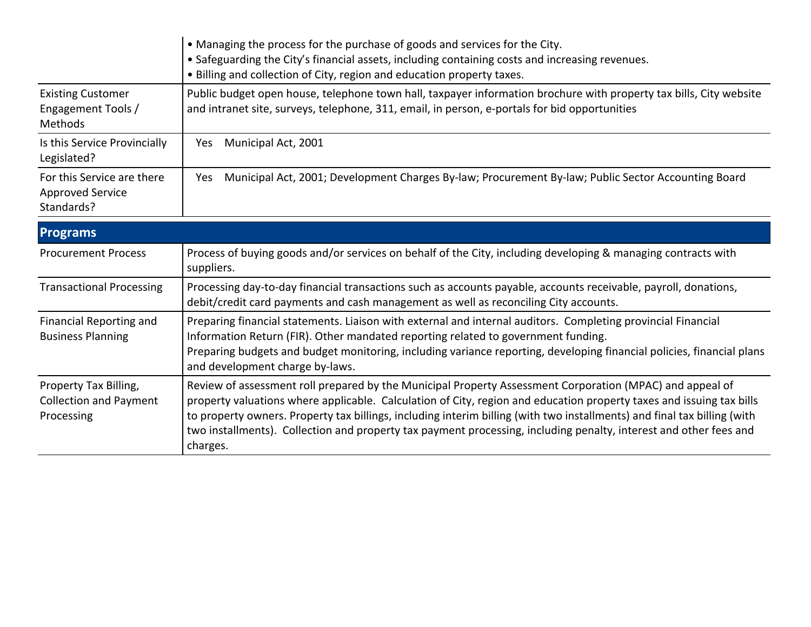| • Managing the process for the purchase of goods and services for the City.<br>• Safeguarding the City's financial assets, including containing costs and increasing revenues.<br>• Billing and collection of City, region and education property taxes. |                                                                                                                                                                                                                     |  |  |  |  |
|----------------------------------------------------------------------------------------------------------------------------------------------------------------------------------------------------------------------------------------------------------|---------------------------------------------------------------------------------------------------------------------------------------------------------------------------------------------------------------------|--|--|--|--|
| <b>Existing Customer</b><br>Engagement Tools /<br>Methods                                                                                                                                                                                                | Public budget open house, telephone town hall, taxpayer information brochure with property tax bills, City website<br>and intranet site, surveys, telephone, 311, email, in person, e-portals for bid opportunities |  |  |  |  |
| Is this Service Provincially<br>Legislated?                                                                                                                                                                                                              | Municipal Act, 2001<br>Yes.                                                                                                                                                                                         |  |  |  |  |
| For this Service are there<br><b>Approved Service</b><br>Standards?                                                                                                                                                                                      | Municipal Act, 2001; Development Charges By-law; Procurement By-law; Public Sector Accounting Board<br>Yes                                                                                                          |  |  |  |  |

| <b>Programs</b>                                                      |                                                                                                                                                                                                                                                                                                                                                                                                                                                                                               |
|----------------------------------------------------------------------|-----------------------------------------------------------------------------------------------------------------------------------------------------------------------------------------------------------------------------------------------------------------------------------------------------------------------------------------------------------------------------------------------------------------------------------------------------------------------------------------------|
| <b>Procurement Process</b>                                           | Process of buying goods and/or services on behalf of the City, including developing & managing contracts with<br>suppliers.                                                                                                                                                                                                                                                                                                                                                                   |
| <b>Transactional Processing</b>                                      | Processing day-to-day financial transactions such as accounts payable, accounts receivable, payroll, donations,<br>debit/credit card payments and cash management as well as reconciling City accounts.                                                                                                                                                                                                                                                                                       |
| Financial Reporting and<br><b>Business Planning</b>                  | Preparing financial statements. Liaison with external and internal auditors. Completing provincial Financial<br>Information Return (FIR). Other mandated reporting related to government funding.<br>Preparing budgets and budget monitoring, including variance reporting, developing financial policies, financial plans<br>and development charge by-laws.                                                                                                                                 |
| Property Tax Billing,<br><b>Collection and Payment</b><br>Processing | Review of assessment roll prepared by the Municipal Property Assessment Corporation (MPAC) and appeal of<br>property valuations where applicable. Calculation of City, region and education property taxes and issuing tax bills<br>to property owners. Property tax billings, including interim billing (with two installments) and final tax billing (with<br>two installments). Collection and property tax payment processing, including penalty, interest and other fees and<br>charges. |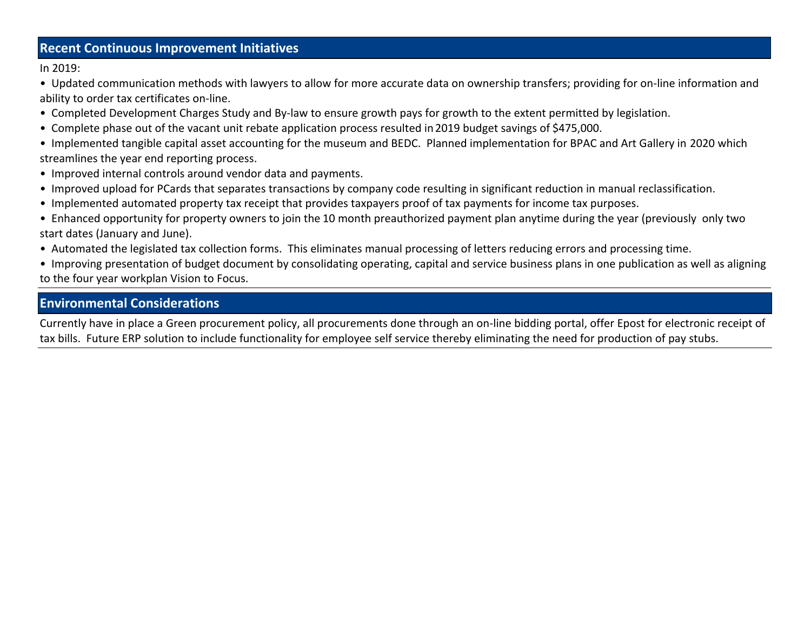#### **Recent Continuous Improvement Initiatives**

In 2019:

- Updated communication methods with lawyers to allow for more accurate data on ownership transfers; providing for on-line information and ability to order tax certificates on-line.
- Completed Development Charges Study and By-law to ensure growth pays for growth to the extent permitted by legislation.
- Complete phase out of the vacant unit rebate application process resulted in 2019 budget savings of \$475,000.
- Implemented tangible capital asset accounting for the museum and BEDC. Planned implementation for BPAC and Art Gallery in 2020 which streamlines the year end reporting process.
- Improved internal controls around vendor data and payments.
- Improved upload for PCards that separates transactions by company code resulting in significant reduction in manual reclassification.
- Implemented automated property tax receipt that provides taxpayers proof of tax payments for income tax purposes.
- Enhanced opportunity for property owners to join the 10 month preauthorized payment plan anytime during the year (previously only two start dates (January and June).
- Automated the legislated tax collection forms. This eliminates manual processing of letters reducing errors and processing time.
- Improving presentation of budget document by consolidating operating, capital and service business plans in one publication as well as aligning to the four year workplan Vision to Focus.

## **Environmental Considerations**

Currently have in place a Green procurement policy, all procurements done through an on-line bidding portal, offer Epost for electronic receipt of tax bills. Future ERP solution to include functionality for employee self service thereby eliminating the need for production of pay stubs.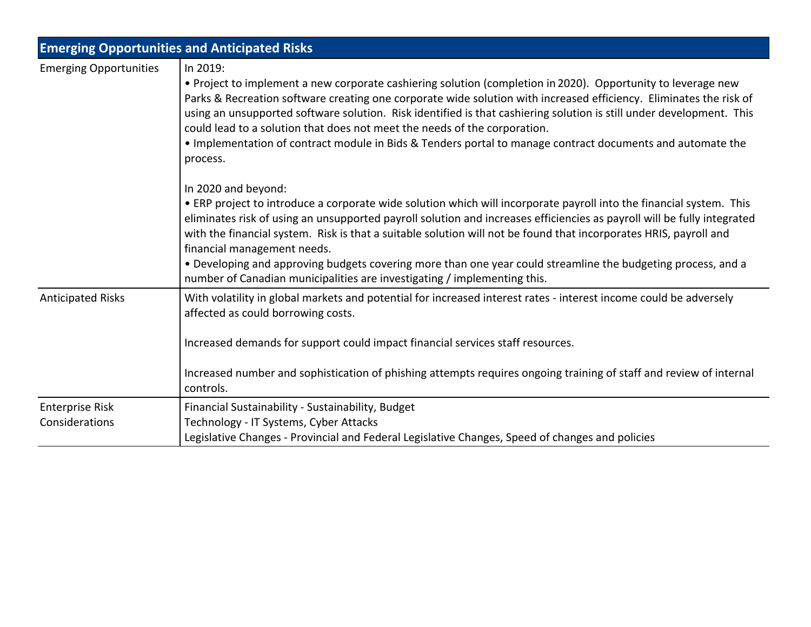|                                          | <b>Emerging Opportunities and Anticipated Risks</b>                                                                                                                                                                                                                                                                                                                                                                                                                                                                                                                                                                   |
|------------------------------------------|-----------------------------------------------------------------------------------------------------------------------------------------------------------------------------------------------------------------------------------------------------------------------------------------------------------------------------------------------------------------------------------------------------------------------------------------------------------------------------------------------------------------------------------------------------------------------------------------------------------------------|
| <b>Emerging Opportunities</b>            | In 2019:<br>• Project to implement a new corporate cashiering solution (completion in 2020). Opportunity to leverage new<br>Parks & Recreation software creating one corporate wide solution with increased efficiency. Eliminates the risk of<br>using an unsupported software solution. Risk identified is that cashiering solution is still under development. This<br>could lead to a solution that does not meet the needs of the corporation.<br>. Implementation of contract module in Bids & Tenders portal to manage contract documents and automate the<br>process.                                         |
|                                          | In 2020 and beyond:<br>• ERP project to introduce a corporate wide solution which will incorporate payroll into the financial system. This<br>eliminates risk of using an unsupported payroll solution and increases efficiencies as payroll will be fully integrated<br>with the financial system. Risk is that a suitable solution will not be found that incorporates HRIS, payroll and<br>financial management needs.<br>• Developing and approving budgets covering more than one year could streamline the budgeting process, and a<br>number of Canadian municipalities are investigating / implementing this. |
| <b>Anticipated Risks</b>                 | With volatility in global markets and potential for increased interest rates - interest income could be adversely<br>affected as could borrowing costs.<br>Increased demands for support could impact financial services staff resources.<br>Increased number and sophistication of phishing attempts requires ongoing training of staff and review of internal<br>controls.                                                                                                                                                                                                                                          |
| <b>Enterprise Risk</b><br>Considerations | Financial Sustainability - Sustainability, Budget<br>Technology - IT Systems, Cyber Attacks<br>Legislative Changes - Provincial and Federal Legislative Changes, Speed of changes and policies                                                                                                                                                                                                                                                                                                                                                                                                                        |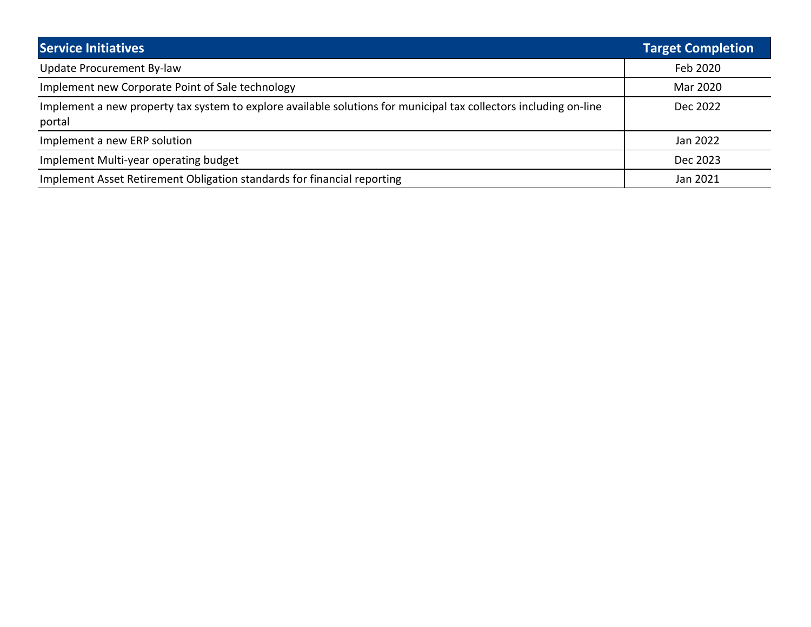| <b>Service Initiatives</b>                                                                                                  | <b>Target Completion</b> |
|-----------------------------------------------------------------------------------------------------------------------------|--------------------------|
| <b>Update Procurement By-law</b>                                                                                            | Feb 2020                 |
| Implement new Corporate Point of Sale technology                                                                            | Mar 2020                 |
| Implement a new property tax system to explore available solutions for municipal tax collectors including on-line<br>portal | Dec 2022                 |
| Implement a new ERP solution                                                                                                | Jan 2022                 |
| Implement Multi-year operating budget                                                                                       | Dec 2023                 |
| Implement Asset Retirement Obligation standards for financial reporting                                                     | Jan 2021                 |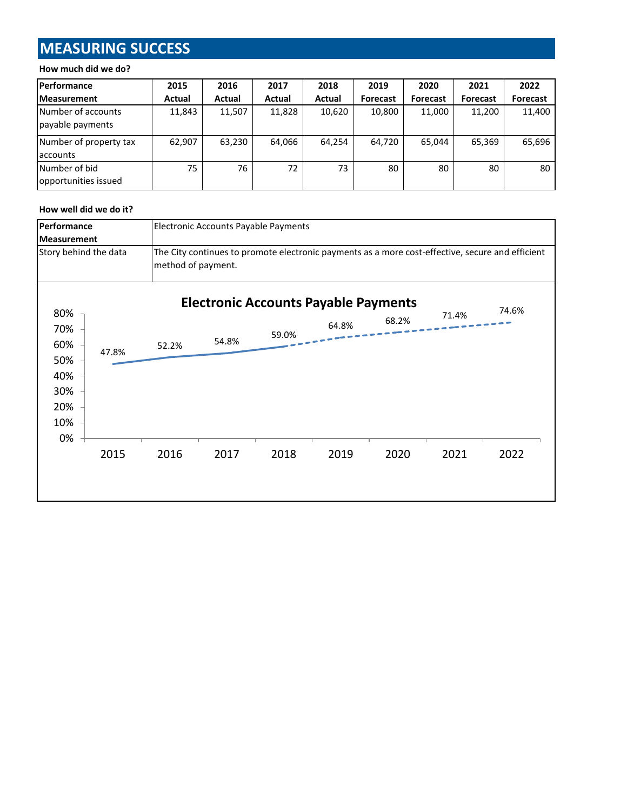# **MEASURING SUCCESS**

#### **How much did we do?**

| Performance                            | 2015   | 2016   | 2017   | 2018   | 2019            | 2020            | 2021            | 2022     |
|----------------------------------------|--------|--------|--------|--------|-----------------|-----------------|-----------------|----------|
| <b>Measurement</b>                     | Actual | Actual | Actual | Actual | <b>Forecast</b> | <b>Forecast</b> | <b>Forecast</b> | Forecast |
| Number of accounts<br>payable payments | 11,843 | 11,507 | 11,828 | 10,620 | 10,800          | 11,000          | 11,200          | 11,400   |
| Number of property tax<br>laccounts    | 62,907 | 63,230 | 64,066 | 64,254 | 64,720          | 65,044          | 65,369          | 65,696   |
| Number of bid<br>opportunities issued  | 75     | 76     | 72     | 73     | 80              | 80              | 80              | 80       |

#### **How well did we do it?**

| Performance           |       |       | Electronic Accounts Payable Payments                                                                                   |                                             |       |       |       |       |  |
|-----------------------|-------|-------|------------------------------------------------------------------------------------------------------------------------|---------------------------------------------|-------|-------|-------|-------|--|
| <b>Measurement</b>    |       |       |                                                                                                                        |                                             |       |       |       |       |  |
| Story behind the data |       |       | The City continues to promote electronic payments as a more cost-effective, secure and efficient<br>method of payment. |                                             |       |       |       |       |  |
| 80%                   |       |       |                                                                                                                        | <b>Electronic Accounts Payable Payments</b> |       |       | 71.4% | 74.6% |  |
| 70%                   |       |       |                                                                                                                        |                                             | 64.8% | 68.2% |       |       |  |
| 60%                   | 47.8% | 52.2% | 54.8%                                                                                                                  | 59.0%                                       |       |       |       |       |  |
| 50%                   |       |       |                                                                                                                        |                                             |       |       |       |       |  |
| 40%                   |       |       |                                                                                                                        |                                             |       |       |       |       |  |
| 30%                   |       |       |                                                                                                                        |                                             |       |       |       |       |  |
| 20%                   |       |       |                                                                                                                        |                                             |       |       |       |       |  |
| 10%                   |       |       |                                                                                                                        |                                             |       |       |       |       |  |
| 0%                    |       |       |                                                                                                                        |                                             |       |       |       |       |  |
|                       | 2015  | 2016  | 2017                                                                                                                   | 2018                                        | 2019  | 2020  | 2021  | 2022  |  |
|                       |       |       |                                                                                                                        |                                             |       |       |       |       |  |
|                       |       |       |                                                                                                                        |                                             |       |       |       |       |  |
|                       |       |       |                                                                                                                        |                                             |       |       |       |       |  |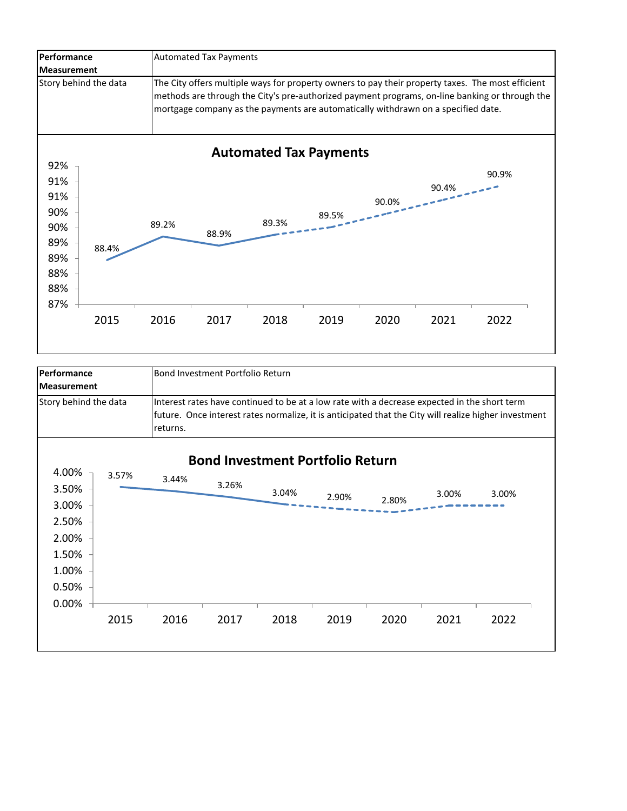

| <b>Performance</b><br>Measurement                                             |       | Bond Investment Portfolio Return                                                                                                                                                                                  |       |                                                  |       |       |       |       |  |
|-------------------------------------------------------------------------------|-------|-------------------------------------------------------------------------------------------------------------------------------------------------------------------------------------------------------------------|-------|--------------------------------------------------|-------|-------|-------|-------|--|
| Story behind the data                                                         |       | Interest rates have continued to be at a low rate with a decrease expected in the short term<br>future. Once interest rates normalize, it is anticipated that the City will realize higher investment<br>returns. |       |                                                  |       |       |       |       |  |
| 4.00%<br>3.50%<br>3.00%<br>2.50%<br>2.00%<br>1.50%<br>1.00%<br>0.50%<br>0.00% | 3.57% | 3.44%                                                                                                                                                                                                             | 3.26% | <b>Bond Investment Portfolio Return</b><br>3.04% | 2.90% | 2.80% | 3.00% | 3.00% |  |
|                                                                               | 2015  | 2016                                                                                                                                                                                                              | 2017  | 2018                                             | 2019  | 2020  | 2021  | 2022  |  |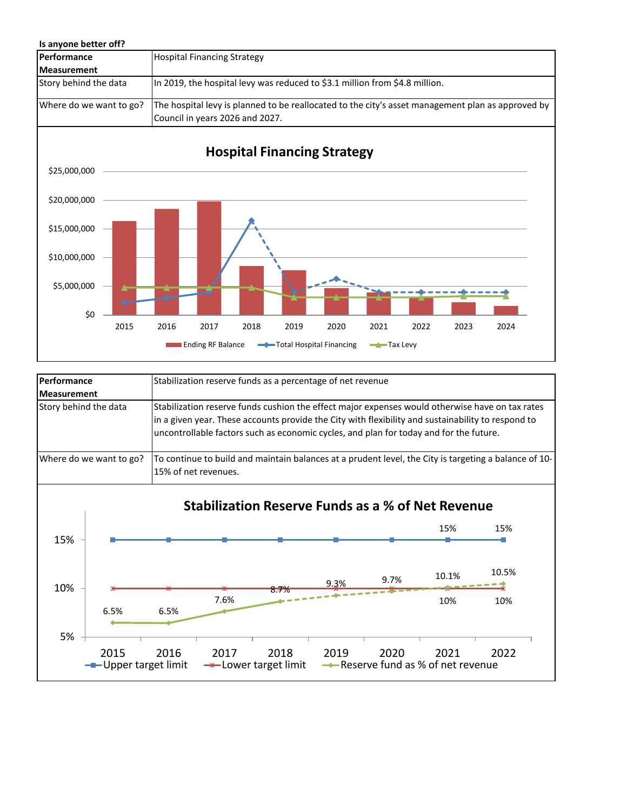